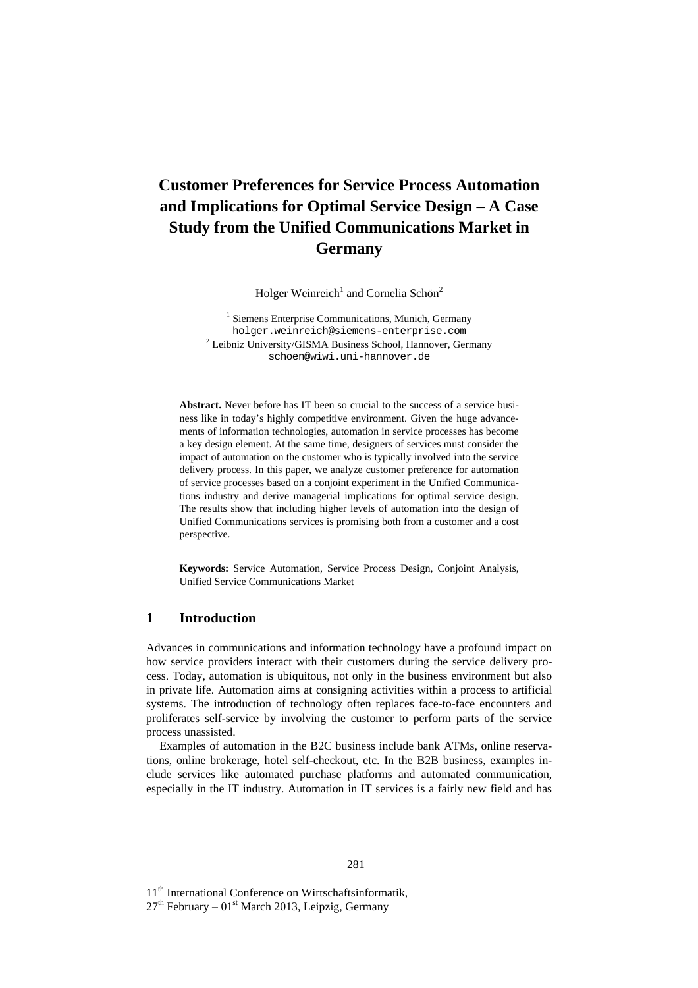# **Customer Preferences for Service Process Automation and Implications for Optimal Service Design – A Case Study from the Unified Communications Market in Germany**

Holger Weinreich<sup>1</sup> and Cornelia Schön<sup>2</sup>

<sup>1</sup> Siemens Enterprise Communications, Munich, Germany holger.weinreich@siemens-enterprise.com <sup>2</sup> Leibniz University/GISMA Business School, Hannover, Germany schoen@wiwi.uni-hannover.de

**Abstract.** Never before has IT been so crucial to the success of a service business like in today's highly competitive environment. Given the huge advancements of information technologies, automation in service processes has become a key design element. At the same time, designers of services must consider the impact of automation on the customer who is typically involved into the service delivery process. In this paper, we analyze customer preference for automation of service processes based on a conjoint experiment in the Unified Communications industry and derive managerial implications for optimal service design. The results show that including higher levels of automation into the design of Unified Communications services is promising both from a customer and a cost perspective.

**Keywords:** Service Automation, Service Process Design, Conjoint Analysis, Unified Service Communications Market

## **1 Introduction**

Advances in communications and information technology have a profound impact on how service providers interact with their customers during the service delivery process. Today, automation is ubiquitous, not only in the business environment but also in private life. Automation aims at consigning activities within a process to artificial systems. The introduction of technology often replaces face-to-face encounters and proliferates self-service by involving the customer to perform parts of the service process unassisted.

Examples of automation in the B2C business include bank ATMs, online reservations, online brokerage, hotel self-checkout, etc. In the B2B business, examples include services like automated purchase platforms and automated communication, especially in the IT industry. Automation in IT services is a fairly new field and has

11<sup>th</sup> International Conference on Wirtschaftsinformatik,

 $27<sup>th</sup>$  February – 01<sup>st</sup> March 2013, Leipzig, Germany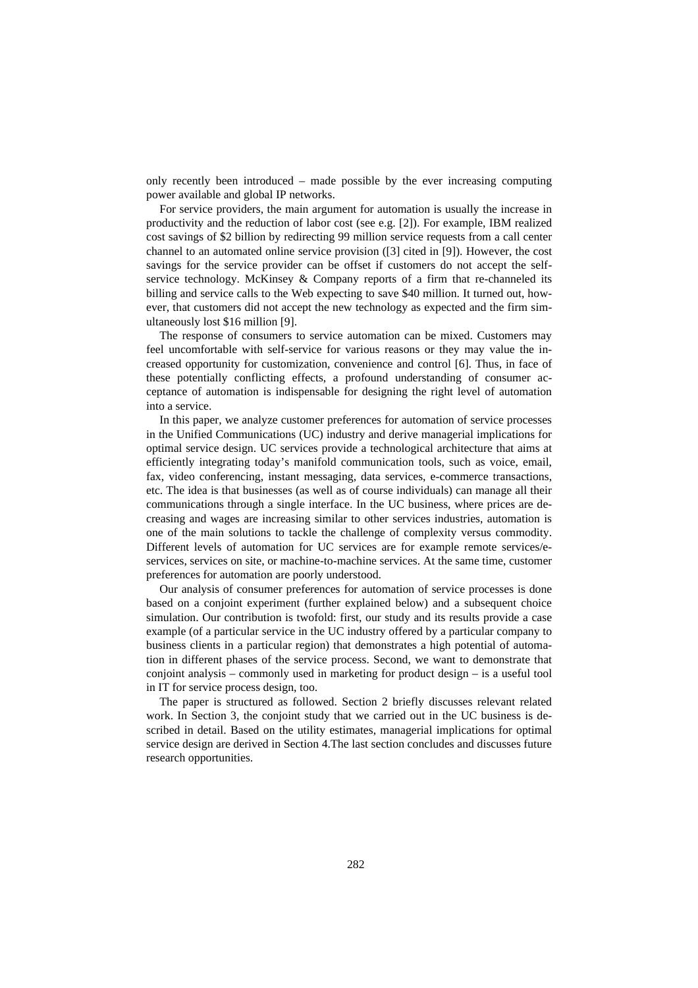only recently been introduced – made possible by the ever increasing computing power available and global IP networks.

For service providers, the main argument for automation is usually the increase in productivity and the reduction of labor cost (see e.g. [2]). For example, IBM realized cost savings of \$2 billion by redirecting 99 million service requests from a call center channel to an automated online service provision ([3] cited in [9]). However, the cost savings for the service provider can be offset if customers do not accept the selfservice technology. McKinsey & Company reports of a firm that re-channeled its billing and service calls to the Web expecting to save \$40 million. It turned out, however, that customers did not accept the new technology as expected and the firm simultaneously lost \$16 million [9].

The response of consumers to service automation can be mixed. Customers may feel uncomfortable with self-service for various reasons or they may value the increased opportunity for customization, convenience and control [6]. Thus, in face of these potentially conflicting effects, a profound understanding of consumer acceptance of automation is indispensable for designing the right level of automation into a service.

In this paper, we analyze customer preferences for automation of service processes in the Unified Communications (UC) industry and derive managerial implications for optimal service design. UC services provide a technological architecture that aims at efficiently integrating today's manifold communication tools, such as voice, email, fax, video conferencing, instant messaging, data services, e-commerce transactions, etc. The idea is that businesses (as well as of course individuals) can manage all their communications through a single interface. In the UC business, where prices are decreasing and wages are increasing similar to other services industries, automation is one of the main solutions to tackle the challenge of complexity versus commodity. Different levels of automation for UC services are for example remote services/eservices, services on site, or machine-to-machine services. At the same time, customer preferences for automation are poorly understood.

Our analysis of consumer preferences for automation of service processes is done based on a conjoint experiment (further explained below) and a subsequent choice simulation. Our contribution is twofold: first, our study and its results provide a case example (of a particular service in the UC industry offered by a particular company to business clients in a particular region) that demonstrates a high potential of automation in different phases of the service process. Second, we want to demonstrate that conjoint analysis – commonly used in marketing for product design – is a useful tool in IT for service process design, too.

The paper is structured as followed. Section 2 briefly discusses relevant related work. In Section 3, the conjoint study that we carried out in the UC business is described in detail. Based on the utility estimates, managerial implications for optimal service design are derived in Section 4.The last section concludes and discusses future research opportunities.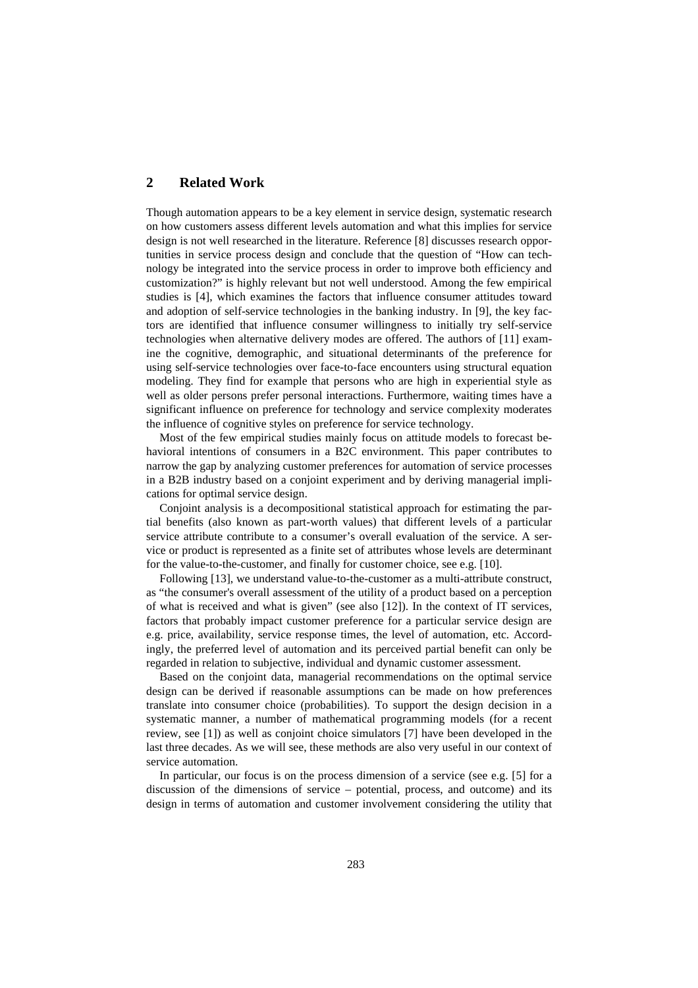# **2 Related Work**

Though automation appears to be a key element in service design, systematic research on how customers assess different levels automation and what this implies for service design is not well researched in the literature. Reference [8] discusses research opportunities in service process design and conclude that the question of "How can technology be integrated into the service process in order to improve both efficiency and customization?" is highly relevant but not well understood. Among the few empirical studies is [4], which examines the factors that influence consumer attitudes toward and adoption of self-service technologies in the banking industry. In [9], the key factors are identified that influence consumer willingness to initially try self-service technologies when alternative delivery modes are offered. The authors of [11] examine the cognitive, demographic, and situational determinants of the preference for using self-service technologies over face-to-face encounters using structural equation modeling. They find for example that persons who are high in experiential style as well as older persons prefer personal interactions. Furthermore, waiting times have a significant influence on preference for technology and service complexity moderates the influence of cognitive styles on preference for service technology.

Most of the few empirical studies mainly focus on attitude models to forecast behavioral intentions of consumers in a B2C environment. This paper contributes to narrow the gap by analyzing customer preferences for automation of service processes in a B2B industry based on a conjoint experiment and by deriving managerial implications for optimal service design.

Conjoint analysis is a decompositional statistical approach for estimating the partial benefits (also known as part-worth values) that different levels of a particular service attribute contribute to a consumer's overall evaluation of the service. A service or product is represented as a finite set of attributes whose levels are determinant for the value-to-the-customer, and finally for customer choice, see e.g. [10].

Following [13], we understand value-to-the-customer as a multi-attribute construct, as "the consumer's overall assessment of the utility of a product based on a perception of what is received and what is given" (see also [12]). In the context of IT services, factors that probably impact customer preference for a particular service design are e.g. price, availability, service response times, the level of automation, etc. Accordingly, the preferred level of automation and its perceived partial benefit can only be regarded in relation to subjective, individual and dynamic customer assessment.

Based on the conjoint data, managerial recommendations on the optimal service design can be derived if reasonable assumptions can be made on how preferences translate into consumer choice (probabilities). To support the design decision in a systematic manner, a number of mathematical programming models (for a recent review, see [1]) as well as conjoint choice simulators [7] have been developed in the last three decades. As we will see, these methods are also very useful in our context of service automation.

In particular, our focus is on the process dimension of a service (see e.g. [5] for a discussion of the dimensions of service – potential, process, and outcome) and its design in terms of automation and customer involvement considering the utility that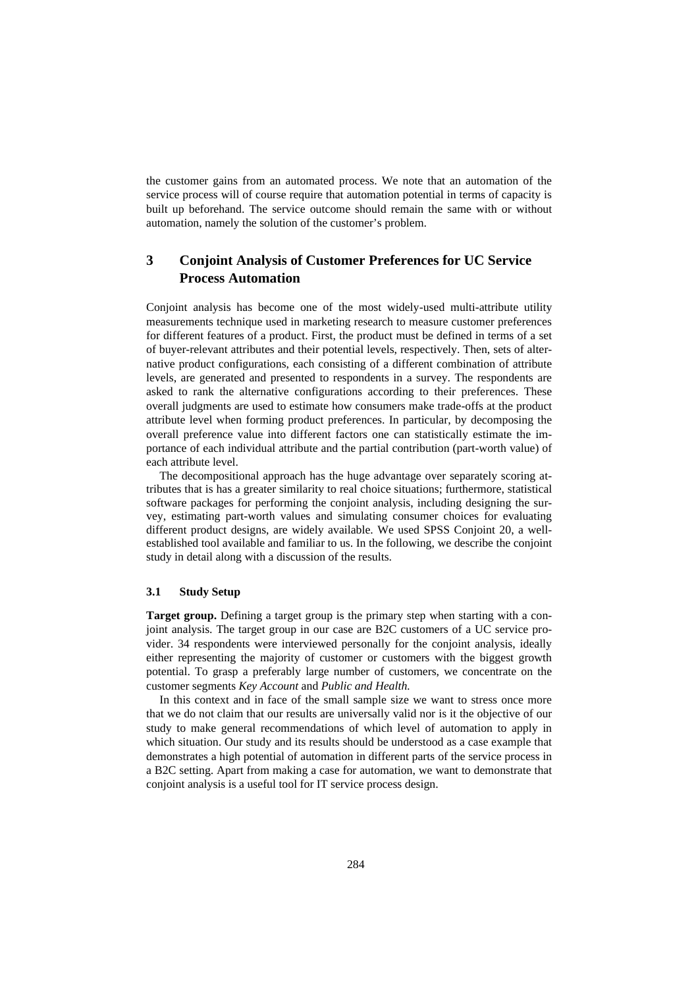the customer gains from an automated process. We note that an automation of the service process will of course require that automation potential in terms of capacity is built up beforehand. The service outcome should remain the same with or without automation, namely the solution of the customer's problem.

# **3 Conjoint Analysis of Customer Preferences for UC Service Process Automation**

Conjoint analysis has become one of the most widely-used multi-attribute utility measurements technique used in marketing research to measure customer preferences for different features of a product. First, the product must be defined in terms of a set of buyer-relevant attributes and their potential levels, respectively. Then, sets of alternative product configurations, each consisting of a different combination of attribute levels, are generated and presented to respondents in a survey. The respondents are asked to rank the alternative configurations according to their preferences. These overall judgments are used to estimate how consumers make trade-offs at the product attribute level when forming product preferences. In particular, by decomposing the overall preference value into different factors one can statistically estimate the importance of each individual attribute and the partial contribution (part-worth value) of each attribute level.

The decompositional approach has the huge advantage over separately scoring attributes that is has a greater similarity to real choice situations; furthermore, statistical software packages for performing the conjoint analysis, including designing the survey, estimating part-worth values and simulating consumer choices for evaluating different product designs, are widely available. We used SPSS Conjoint 20, a wellestablished tool available and familiar to us. In the following, we describe the conjoint study in detail along with a discussion of the results.

#### **3.1 Study Setup**

**Target group.** Defining a target group is the primary step when starting with a conjoint analysis. The target group in our case are B2C customers of a UC service provider. 34 respondents were interviewed personally for the conjoint analysis, ideally either representing the majority of customer or customers with the biggest growth potential. To grasp a preferably large number of customers, we concentrate on the customer segments *Key Account* and *Public and Health.*

In this context and in face of the small sample size we want to stress once more that we do not claim that our results are universally valid nor is it the objective of our study to make general recommendations of which level of automation to apply in which situation. Our study and its results should be understood as a case example that demonstrates a high potential of automation in different parts of the service process in a B2C setting. Apart from making a case for automation, we want to demonstrate that conjoint analysis is a useful tool for IT service process design.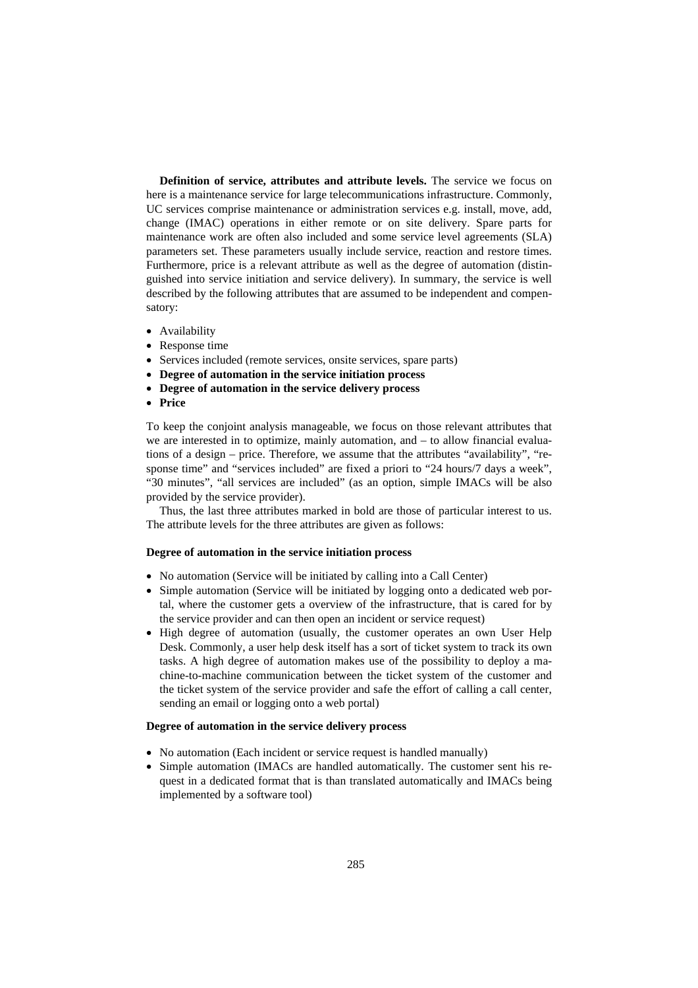**Definition of service, attributes and attribute levels.** The service we focus on here is a maintenance service for large telecommunications infrastructure. Commonly, UC services comprise maintenance or administration services e.g. install, move, add, change (IMAC) operations in either remote or on site delivery. Spare parts for maintenance work are often also included and some service level agreements (SLA) parameters set. These parameters usually include service, reaction and restore times. Furthermore, price is a relevant attribute as well as the degree of automation (distinguished into service initiation and service delivery). In summary, the service is well described by the following attributes that are assumed to be independent and compensatory:

- Availability
- Response time
- Services included (remote services, onsite services, spare parts)
- **Degree of automation in the service initiation process**
- **Degree of automation in the service delivery process**
- **Price**

To keep the conjoint analysis manageable, we focus on those relevant attributes that we are interested in to optimize, mainly automation, and – to allow financial evaluations of a design – price. Therefore, we assume that the attributes "availability", "response time" and "services included" are fixed a priori to "24 hours/7 days a week", "30 minutes", "all services are included" (as an option, simple IMACs will be also provided by the service provider).

Thus, the last three attributes marked in bold are those of particular interest to us. The attribute levels for the three attributes are given as follows:

#### **Degree of automation in the service initiation process**

- No automation (Service will be initiated by calling into a Call Center)
- Simple automation (Service will be initiated by logging onto a dedicated web portal, where the customer gets a overview of the infrastructure, that is cared for by the service provider and can then open an incident or service request)
- High degree of automation (usually, the customer operates an own User Help Desk. Commonly, a user help desk itself has a sort of ticket system to track its own tasks. A high degree of automation makes use of the possibility to deploy a machine-to-machine communication between the ticket system of the customer and the ticket system of the service provider and safe the effort of calling a call center, sending an email or logging onto a web portal)

#### **Degree of automation in the service delivery process**

- No automation (Each incident or service request is handled manually)
- Simple automation (IMACs are handled automatically. The customer sent his request in a dedicated format that is than translated automatically and IMACs being implemented by a software tool)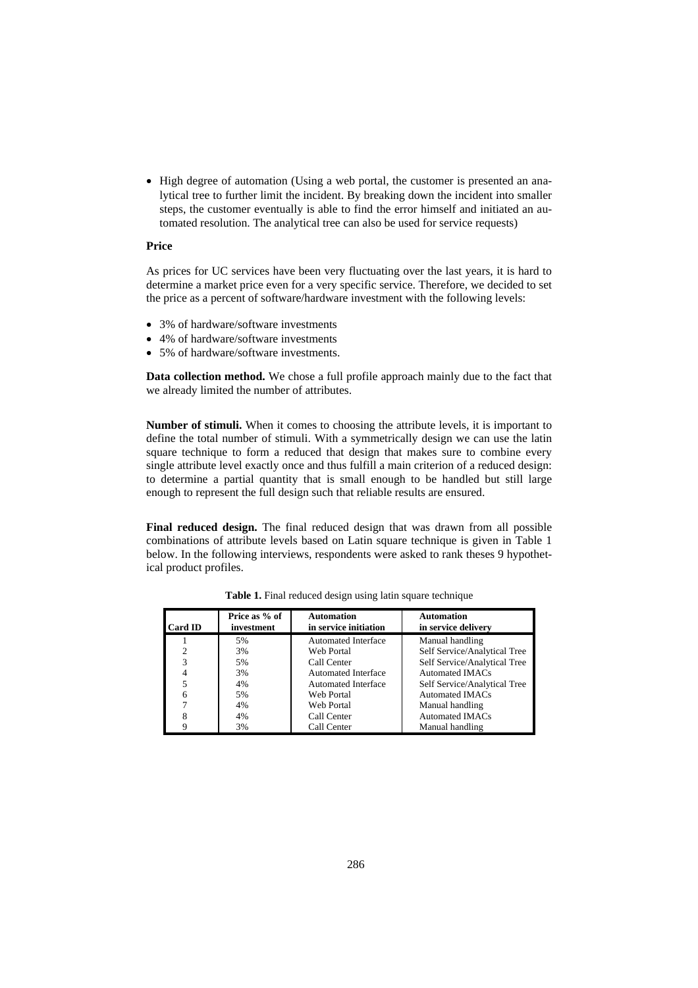• High degree of automation (Using a web portal, the customer is presented an analytical tree to further limit the incident. By breaking down the incident into smaller steps, the customer eventually is able to find the error himself and initiated an automated resolution. The analytical tree can also be used for service requests)

#### **Price**

As prices for UC services have been very fluctuating over the last years, it is hard to determine a market price even for a very specific service. Therefore, we decided to set the price as a percent of software/hardware investment with the following levels:

- 3% of hardware/software investments
- 4% of hardware/software investments
- 5% of hardware/software investments.

**Data collection method.** We chose a full profile approach mainly due to the fact that we already limited the number of attributes.

**Number of stimuli.** When it comes to choosing the attribute levels, it is important to define the total number of stimuli. With a symmetrically design we can use the latin square technique to form a reduced that design that makes sure to combine every single attribute level exactly once and thus fulfill a main criterion of a reduced design: to determine a partial quantity that is small enough to be handled but still large enough to represent the full design such that reliable results are ensured.

**Final reduced design.** The final reduced design that was drawn from all possible combinations of attribute levels based on Latin square technique is given in Table 1 below. In the following interviews, respondents were asked to rank theses 9 hypothetical product profiles.

| <b>Card ID</b> | Price as % of<br>investment | <b>Automation</b><br>in service initiation | <b>Automation</b><br>in service delivery |
|----------------|-----------------------------|--------------------------------------------|------------------------------------------|
|                | 5%                          | <b>Automated Interface</b>                 | Manual handling                          |
|                | 3%                          | Web Portal                                 | Self Service/Analytical Tree             |
| 3              | 5%                          | Call Center                                | Self Service/Analytical Tree             |
|                | 3%                          | <b>Automated Interface</b>                 | <b>Automated IMACs</b>                   |
| 5              | 4%                          | <b>Automated Interface</b>                 | Self Service/Analytical Tree             |
| 6              | 5%                          | Web Portal                                 | <b>Automated IMACs</b>                   |
|                | 4%                          | Web Portal                                 | Manual handling                          |
|                | 4%                          | Call Center                                | <b>Automated IMACs</b>                   |
|                | 3%                          | Call Center                                | Manual handling                          |

**Table 1.** Final reduced design using latin square technique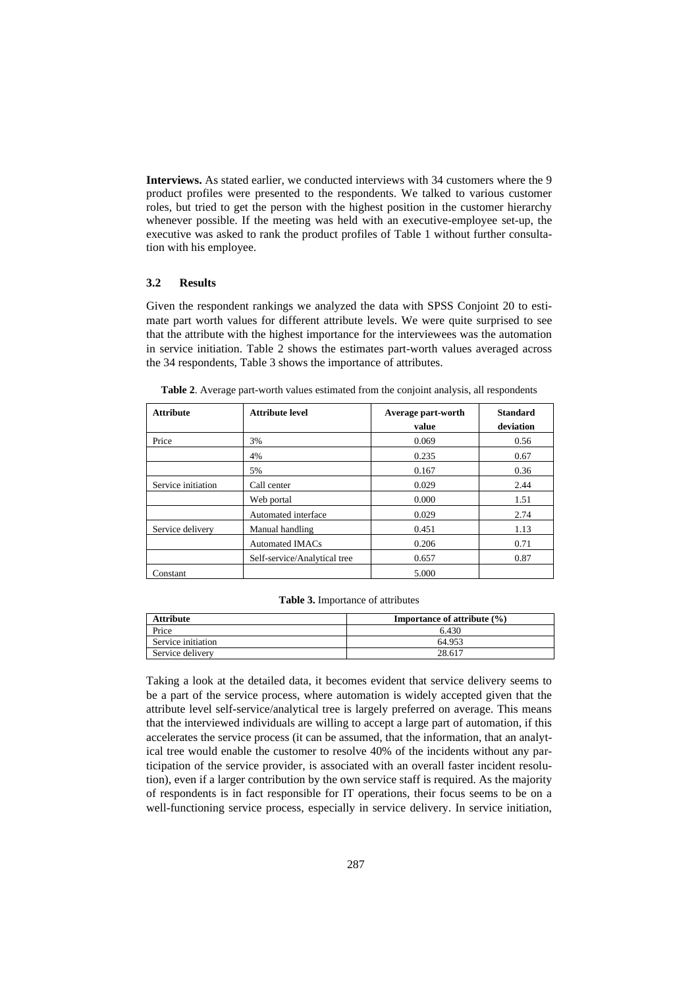**Interviews.** As stated earlier, we conducted interviews with 34 customers where the 9 product profiles were presented to the respondents. We talked to various customer roles, but tried to get the person with the highest position in the customer hierarchy whenever possible. If the meeting was held with an executive-employee set-up, the executive was asked to rank the product profiles of Table 1 without further consultation with his employee.

#### **3.2 Results**

Given the respondent rankings we analyzed the data with SPSS Conjoint 20 to estimate part worth values for different attribute levels. We were quite surprised to see that the attribute with the highest importance for the interviewees was the automation in service initiation. Table 2 shows the estimates part-worth values averaged across the 34 respondents, Table 3 shows the importance of attributes.

| <b>Attribute</b>   | <b>Attribute level</b>       | Average part-worth | <b>Standard</b> |
|--------------------|------------------------------|--------------------|-----------------|
|                    |                              | value              | deviation       |
| Price              | 3%                           | 0.069              | 0.56            |
|                    | 4%                           | 0.235              | 0.67            |
|                    | 5%                           | 0.167              | 0.36            |
| Service initiation | Call center                  | 0.029              | 2.44            |
|                    | Web portal                   | 0.000              | 1.51            |
|                    | Automated interface          | 0.029              | 2.74            |
| Service delivery   | Manual handling              | 0.451              | 1.13            |
|                    | <b>Automated IMACs</b>       | 0.206              | 0.71            |
|                    | Self-service/Analytical tree | 0.657              | 0.87            |
| Constant           |                              | 5.000              |                 |

**Table 2**. Average part-worth values estimated from the conjoint analysis, all respondents

**Table 3.** Importance of attributes

| <b>Attribute</b>   | <b>Importance of attribute (%)</b> |  |  |
|--------------------|------------------------------------|--|--|
| Price              | 6.430                              |  |  |
| Service initiation | 64.953                             |  |  |
| Service delivery   | 28.617                             |  |  |

Taking a look at the detailed data, it becomes evident that service delivery seems to be a part of the service process, where automation is widely accepted given that the attribute level self-service/analytical tree is largely preferred on average. This means that the interviewed individuals are willing to accept a large part of automation, if this accelerates the service process (it can be assumed, that the information, that an analytical tree would enable the customer to resolve 40% of the incidents without any participation of the service provider, is associated with an overall faster incident resolution), even if a larger contribution by the own service staff is required. As the majority of respondents is in fact responsible for IT operations, their focus seems to be on a well-functioning service process, especially in service delivery. In service initiation,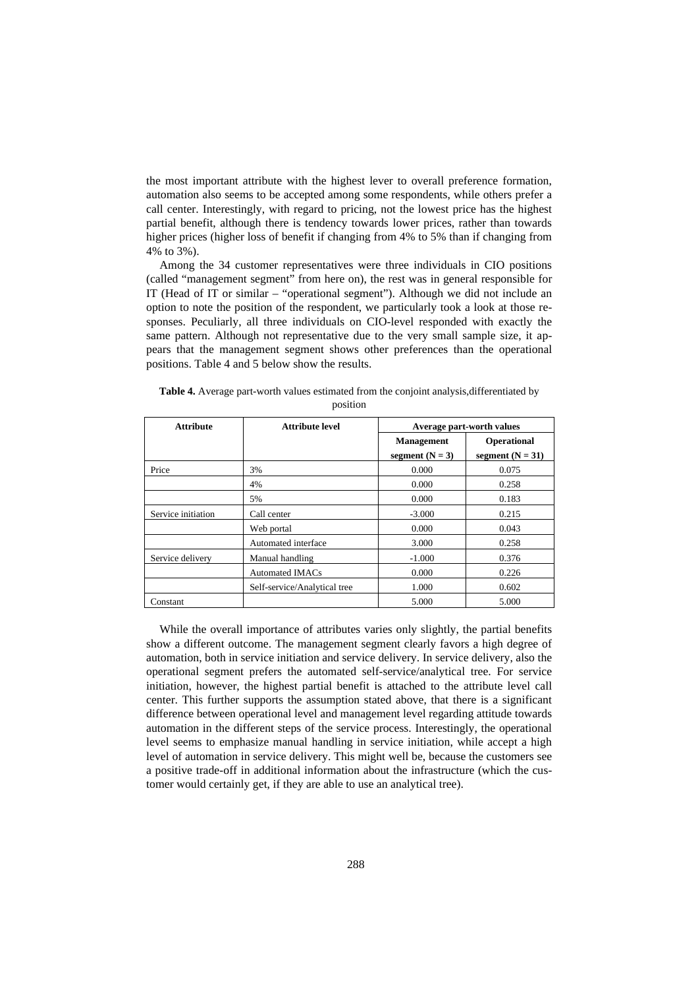the most important attribute with the highest lever to overall preference formation, automation also seems to be accepted among some respondents, while others prefer a call center. Interestingly, with regard to pricing, not the lowest price has the highest partial benefit, although there is tendency towards lower prices, rather than towards higher prices (higher loss of benefit if changing from 4% to 5% than if changing from 4% to 3%).

Among the 34 customer representatives were three individuals in CIO positions (called "management segment" from here on), the rest was in general responsible for IT (Head of IT or similar – "operational segment"). Although we did not include an option to note the position of the respondent, we particularly took a look at those responses. Peculiarly, all three individuals on CIO-level responded with exactly the same pattern. Although not representative due to the very small sample size, it appears that the management segment shows other preferences than the operational positions. Table 4 and 5 below show the results.

| <b>Attribute</b>   | <b>Attribute level</b>       | Average part-worth values              |                                          |
|--------------------|------------------------------|----------------------------------------|------------------------------------------|
|                    |                              | <b>Management</b><br>segment $(N = 3)$ | <b>Operational</b><br>segment $(N = 31)$ |
| Price              | 3%                           | 0.000                                  | 0.075                                    |
|                    | 4%                           | 0.000                                  | 0.258                                    |
|                    | 5%                           | 0.000                                  | 0.183                                    |
| Service initiation | Call center                  | $-3.000$                               | 0.215                                    |
|                    | Web portal                   | 0.000                                  | 0.043                                    |
|                    | Automated interface          | 3.000                                  | 0.258                                    |
| Service delivery   | Manual handling              | $-1.000$                               | 0.376                                    |
|                    | Automated IMACs              | 0.000                                  | 0.226                                    |
|                    | Self-service/Analytical tree | 1.000                                  | 0.602                                    |
| Constant           |                              | 5.000                                  | 5.000                                    |

**Table 4.** Average part-worth values estimated from the conjoint analysis,differentiated by position

While the overall importance of attributes varies only slightly, the partial benefits show a different outcome. The management segment clearly favors a high degree of automation, both in service initiation and service delivery. In service delivery, also the operational segment prefers the automated self-service/analytical tree. For service initiation, however, the highest partial benefit is attached to the attribute level call center. This further supports the assumption stated above, that there is a significant difference between operational level and management level regarding attitude towards automation in the different steps of the service process. Interestingly, the operational level seems to emphasize manual handling in service initiation, while accept a high level of automation in service delivery. This might well be, because the customers see a positive trade-off in additional information about the infrastructure (which the customer would certainly get, if they are able to use an analytical tree).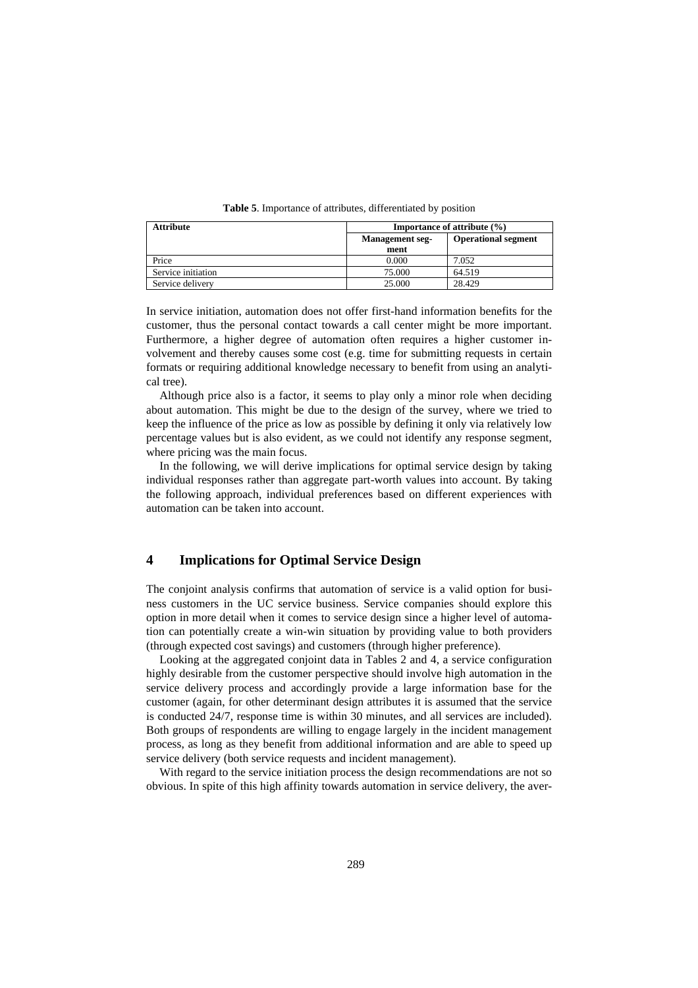|  | <b>Table 5.</b> Importance of attributes, differentiated by position |  |
|--|----------------------------------------------------------------------|--|
|  |                                                                      |  |

| <b>Attribute</b>   | <b>Importance of attribute</b> $(\%)$ |                            |  |
|--------------------|---------------------------------------|----------------------------|--|
|                    | <b>Management</b> seg-<br>ment        | <b>Operational segment</b> |  |
| Price              | 0.000                                 | 7.052                      |  |
| Service initiation | 75.000                                | 64.519                     |  |
| Service delivery   | 25,000                                | 28.429                     |  |

In service initiation, automation does not offer first-hand information benefits for the customer, thus the personal contact towards a call center might be more important. Furthermore, a higher degree of automation often requires a higher customer involvement and thereby causes some cost (e.g. time for submitting requests in certain formats or requiring additional knowledge necessary to benefit from using an analytical tree).

Although price also is a factor, it seems to play only a minor role when deciding about automation. This might be due to the design of the survey, where we tried to keep the influence of the price as low as possible by defining it only via relatively low percentage values but is also evident, as we could not identify any response segment, where pricing was the main focus.

In the following, we will derive implications for optimal service design by taking individual responses rather than aggregate part-worth values into account. By taking the following approach, individual preferences based on different experiences with automation can be taken into account.

# **4 Implications for Optimal Service Design**

The conjoint analysis confirms that automation of service is a valid option for business customers in the UC service business. Service companies should explore this option in more detail when it comes to service design since a higher level of automation can potentially create a win-win situation by providing value to both providers (through expected cost savings) and customers (through higher preference).

Looking at the aggregated conjoint data in Tables 2 and 4, a service configuration highly desirable from the customer perspective should involve high automation in the service delivery process and accordingly provide a large information base for the customer (again, for other determinant design attributes it is assumed that the service is conducted 24/7, response time is within 30 minutes, and all services are included). Both groups of respondents are willing to engage largely in the incident management process, as long as they benefit from additional information and are able to speed up service delivery (both service requests and incident management).

With regard to the service initiation process the design recommendations are not so obvious. In spite of this high affinity towards automation in service delivery, the aver-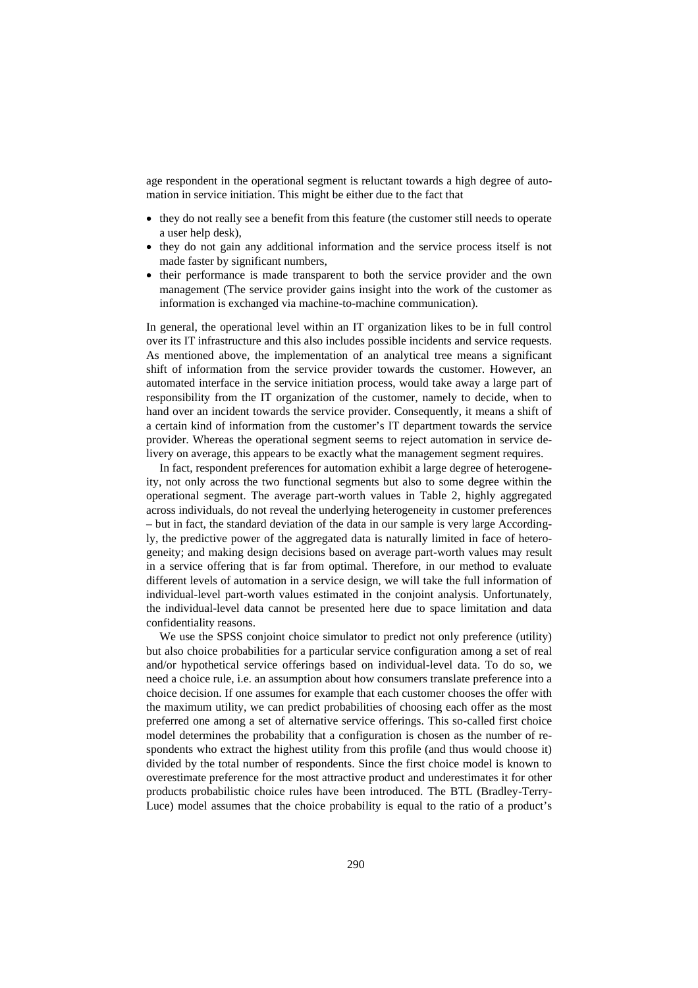age respondent in the operational segment is reluctant towards a high degree of automation in service initiation. This might be either due to the fact that

- they do not really see a benefit from this feature (the customer still needs to operate a user help desk),
- they do not gain any additional information and the service process itself is not made faster by significant numbers,
- their performance is made transparent to both the service provider and the own management (The service provider gains insight into the work of the customer as information is exchanged via machine-to-machine communication).

In general, the operational level within an IT organization likes to be in full control over its IT infrastructure and this also includes possible incidents and service requests. As mentioned above, the implementation of an analytical tree means a significant shift of information from the service provider towards the customer. However, an automated interface in the service initiation process, would take away a large part of responsibility from the IT organization of the customer, namely to decide, when to hand over an incident towards the service provider. Consequently, it means a shift of a certain kind of information from the customer's IT department towards the service provider. Whereas the operational segment seems to reject automation in service delivery on average, this appears to be exactly what the management segment requires.

In fact, respondent preferences for automation exhibit a large degree of heterogeneity, not only across the two functional segments but also to some degree within the operational segment. The average part-worth values in Table 2, highly aggregated across individuals, do not reveal the underlying heterogeneity in customer preferences – but in fact, the standard deviation of the data in our sample is very large Accordingly, the predictive power of the aggregated data is naturally limited in face of heterogeneity; and making design decisions based on average part-worth values may result in a service offering that is far from optimal. Therefore, in our method to evaluate different levels of automation in a service design, we will take the full information of individual-level part-worth values estimated in the conjoint analysis. Unfortunately, the individual-level data cannot be presented here due to space limitation and data confidentiality reasons.

We use the SPSS conjoint choice simulator to predict not only preference (utility) but also choice probabilities for a particular service configuration among a set of real and/or hypothetical service offerings based on individual-level data. To do so, we need a choice rule, i.e. an assumption about how consumers translate preference into a choice decision. If one assumes for example that each customer chooses the offer with the maximum utility, we can predict probabilities of choosing each offer as the most preferred one among a set of alternative service offerings. This so-called first choice model determines the probability that a configuration is chosen as the number of respondents who extract the highest utility from this profile (and thus would choose it) divided by the total number of respondents. Since the first choice model is known to overestimate preference for the most attractive product and underestimates it for other products probabilistic choice rules have been introduced. The BTL (Bradley-Terry-Luce) model assumes that the choice probability is equal to the ratio of a product's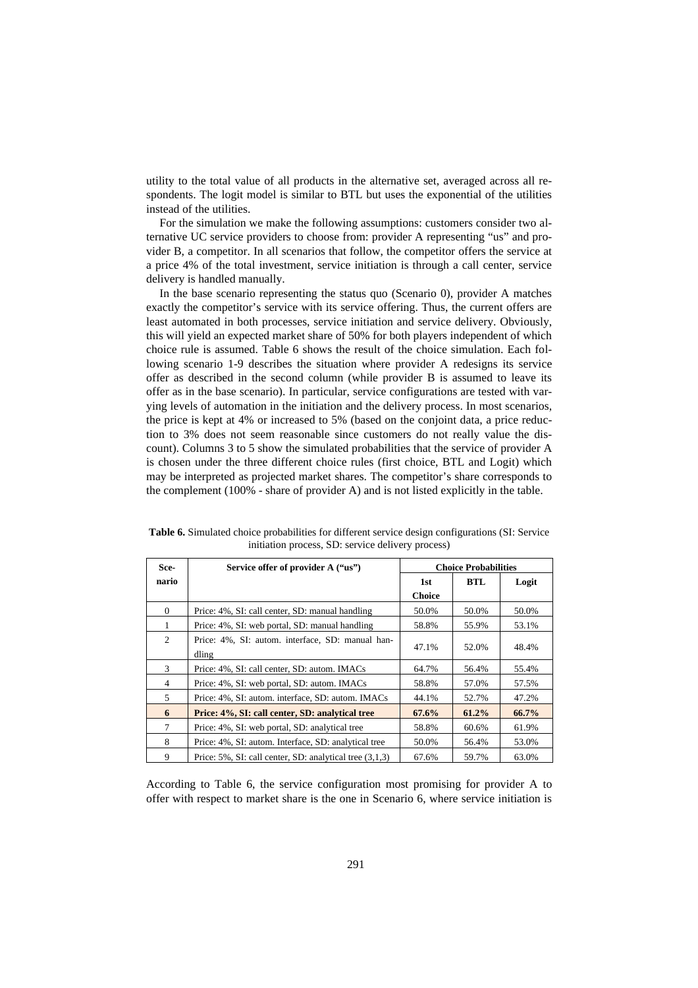utility to the total value of all products in the alternative set, averaged across all respondents. The logit model is similar to BTL but uses the exponential of the utilities instead of the utilities.

For the simulation we make the following assumptions: customers consider two alternative UC service providers to choose from: provider A representing "us" and provider B, a competitor. In all scenarios that follow, the competitor offers the service at a price 4% of the total investment, service initiation is through a call center, service delivery is handled manually.

In the base scenario representing the status quo (Scenario 0), provider A matches exactly the competitor's service with its service offering. Thus, the current offers are least automated in both processes, service initiation and service delivery. Obviously, this will yield an expected market share of 50% for both players independent of which choice rule is assumed. Table 6 shows the result of the choice simulation. Each following scenario 1-9 describes the situation where provider A redesigns its service offer as described in the second column (while provider B is assumed to leave its offer as in the base scenario). In particular, service configurations are tested with varying levels of automation in the initiation and the delivery process. In most scenarios, the price is kept at 4% or increased to 5% (based on the conjoint data, a price reduction to 3% does not seem reasonable since customers do not really value the discount). Columns 3 to 5 show the simulated probabilities that the service of provider A is chosen under the three different choice rules (first choice, BTL and Logit) which may be interpreted as projected market shares. The competitor's share corresponds to the complement (100% - share of provider A) and is not listed explicitly in the table.

| Sce-     | Service offer of provider A ("us")                        | <b>Choice Probabilities</b> |       |       |
|----------|-----------------------------------------------------------|-----------------------------|-------|-------|
| nario    |                                                           | 1st                         | BTL   | Logit |
|          |                                                           | <b>Choice</b>               |       |       |
| $\Omega$ | Price: 4%, SI: call center, SD: manual handling           | 50.0%                       | 50.0% | 50.0% |
| 1        | Price: 4%, SI: web portal, SD: manual handling            | 58.8%                       | 55.9% | 53.1% |
| 2        | Price: 4%, SI: autom. interface, SD: manual han-<br>dling | 47.1%                       | 52.0% | 48.4% |
| 3        |                                                           |                             | 56.4% | 55.4% |
|          | Price: 4%, SI: call center, SD: autom. IMACs              | 64.7%                       |       |       |
| 4        | Price: 4%, SI: web portal, SD: autom. IMACs               | 58.8%                       | 57.0% | 57.5% |
| 5        | Price: 4%, SI: autom. interface, SD: autom. IMACs         | 44.1%                       | 52.7% | 47.2% |
| 6        | Price: 4%, SI: call center, SD: analytical tree           | 67.6%                       | 61.2% | 66.7% |
| 7        | Price: 4%, SI: web portal, SD: analytical tree            | 58.8%                       | 60.6% | 61.9% |
| 8        | Price: 4%, SI: autom. Interface, SD: analytical tree      | 50.0%                       | 56.4% | 53.0% |
| 9        | Price: 5%, SI: call center, SD: analytical tree (3,1,3)   | 67.6%                       | 59.7% | 63.0% |

**Table 6.** Simulated choice probabilities for different service design configurations (SI: Service initiation process, SD: service delivery process)

According to Table 6, the service configuration most promising for provider A to offer with respect to market share is the one in Scenario 6, where service initiation is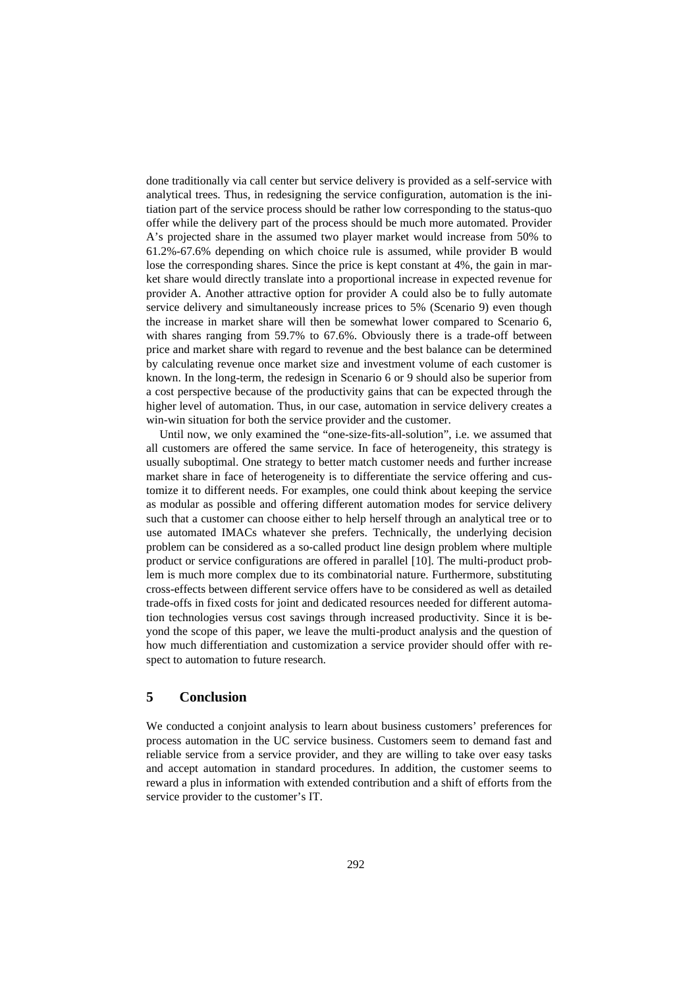done traditionally via call center but service delivery is provided as a self-service with analytical trees. Thus, in redesigning the service configuration, automation is the initiation part of the service process should be rather low corresponding to the status-quo offer while the delivery part of the process should be much more automated. Provider A's projected share in the assumed two player market would increase from 50% to 61.2%-67.6% depending on which choice rule is assumed, while provider B would lose the corresponding shares. Since the price is kept constant at 4%, the gain in market share would directly translate into a proportional increase in expected revenue for provider A. Another attractive option for provider A could also be to fully automate service delivery and simultaneously increase prices to 5% (Scenario 9) even though the increase in market share will then be somewhat lower compared to Scenario 6, with shares ranging from 59.7% to 67.6%. Obviously there is a trade-off between price and market share with regard to revenue and the best balance can be determined by calculating revenue once market size and investment volume of each customer is known. In the long-term, the redesign in Scenario 6 or 9 should also be superior from a cost perspective because of the productivity gains that can be expected through the higher level of automation. Thus, in our case, automation in service delivery creates a win-win situation for both the service provider and the customer.

Until now, we only examined the "one-size-fits-all-solution", i.e. we assumed that all customers are offered the same service. In face of heterogeneity, this strategy is usually suboptimal. One strategy to better match customer needs and further increase market share in face of heterogeneity is to differentiate the service offering and customize it to different needs. For examples, one could think about keeping the service as modular as possible and offering different automation modes for service delivery such that a customer can choose either to help herself through an analytical tree or to use automated IMACs whatever she prefers. Technically, the underlying decision problem can be considered as a so-called product line design problem where multiple product or service configurations are offered in parallel [10]. The multi-product problem is much more complex due to its combinatorial nature. Furthermore, substituting cross-effects between different service offers have to be considered as well as detailed trade-offs in fixed costs for joint and dedicated resources needed for different automation technologies versus cost savings through increased productivity. Since it is beyond the scope of this paper, we leave the multi-product analysis and the question of how much differentiation and customization a service provider should offer with respect to automation to future research.

## **5 Conclusion**

We conducted a conjoint analysis to learn about business customers' preferences for process automation in the UC service business. Customers seem to demand fast and reliable service from a service provider, and they are willing to take over easy tasks and accept automation in standard procedures. In addition, the customer seems to reward a plus in information with extended contribution and a shift of efforts from the service provider to the customer's IT.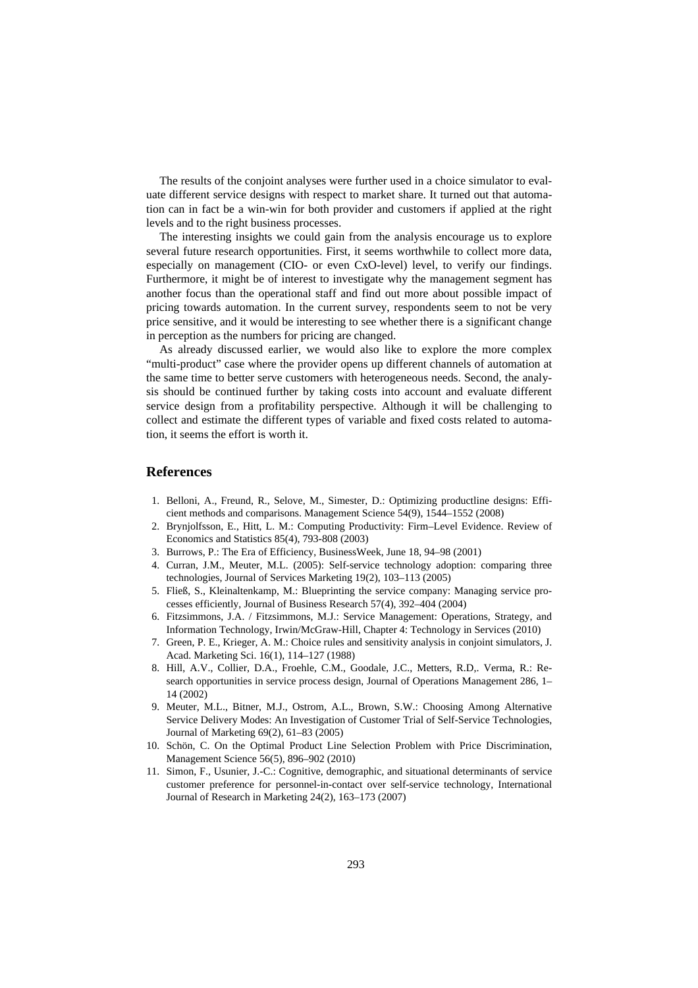The results of the conjoint analyses were further used in a choice simulator to evaluate different service designs with respect to market share. It turned out that automation can in fact be a win-win for both provider and customers if applied at the right levels and to the right business processes.

The interesting insights we could gain from the analysis encourage us to explore several future research opportunities. First, it seems worthwhile to collect more data, especially on management (CIO- or even CxO-level) level, to verify our findings. Furthermore, it might be of interest to investigate why the management segment has another focus than the operational staff and find out more about possible impact of pricing towards automation. In the current survey, respondents seem to not be very price sensitive, and it would be interesting to see whether there is a significant change in perception as the numbers for pricing are changed.

As already discussed earlier, we would also like to explore the more complex "multi-product" case where the provider opens up different channels of automation at the same time to better serve customers with heterogeneous needs. Second, the analysis should be continued further by taking costs into account and evaluate different service design from a profitability perspective. Although it will be challenging to collect and estimate the different types of variable and fixed costs related to automation, it seems the effort is worth it.

### **References**

- 1. Belloni, A., Freund, R., Selove, M., Simester, D.: Optimizing productline designs: Efficient methods and comparisons. Management Science 54(9), 1544–1552 (2008)
- 2. Brynjolfsson, E., Hitt, L. M.: Computing Productivity: Firm–Level Evidence. Review of Economics and Statistics 85(4), 793-808 (2003)
- 3. Burrows, P.: The Era of Efficiency, BusinessWeek, June 18, 94–98 (2001)
- 4. Curran, J.M., Meuter, M.L. (2005): Self-service technology adoption: comparing three technologies, Journal of Services Marketing 19(2), 103–113 (2005)
- 5. Fließ, S., Kleinaltenkamp, M.: Blueprinting the service company: Managing service processes efficiently, Journal of Business Research 57(4), 392–404 (2004)
- 6. Fitzsimmons, J.A. / Fitzsimmons, M.J.: Service Management: Operations, Strategy, and Information Technology, Irwin/McGraw-Hill, Chapter 4: Technology in Services (2010)
- 7. Green, P. E., Krieger, A. M.: Choice rules and sensitivity analysis in conjoint simulators, J. Acad. Marketing Sci. 16(1), 114–127 (1988)
- 8. Hill, A.V., Collier, D.A., Froehle, C.M., Goodale, J.C., Metters, R.D,. Verma, R.: Research opportunities in service process design, Journal of Operations Management 286, 1– 14 (2002)
- 9. Meuter, M.L., Bitner, M.J., Ostrom, A.L., Brown, S.W.: Choosing Among Alternative Service Delivery Modes: An Investigation of Customer Trial of Self-Service Technologies, Journal of Marketing 69(2), 61–83 (2005)
- 10. Schön, C. On the Optimal Product Line Selection Problem with Price Discrimination, Management Science 56(5), 896–902 (2010)
- 11. Simon, F., Usunier, J.-C.: Cognitive, demographic, and situational determinants of service customer preference for personnel-in-contact over self-service technology, International Journal of Research in Marketing 24(2), 163–173 (2007)